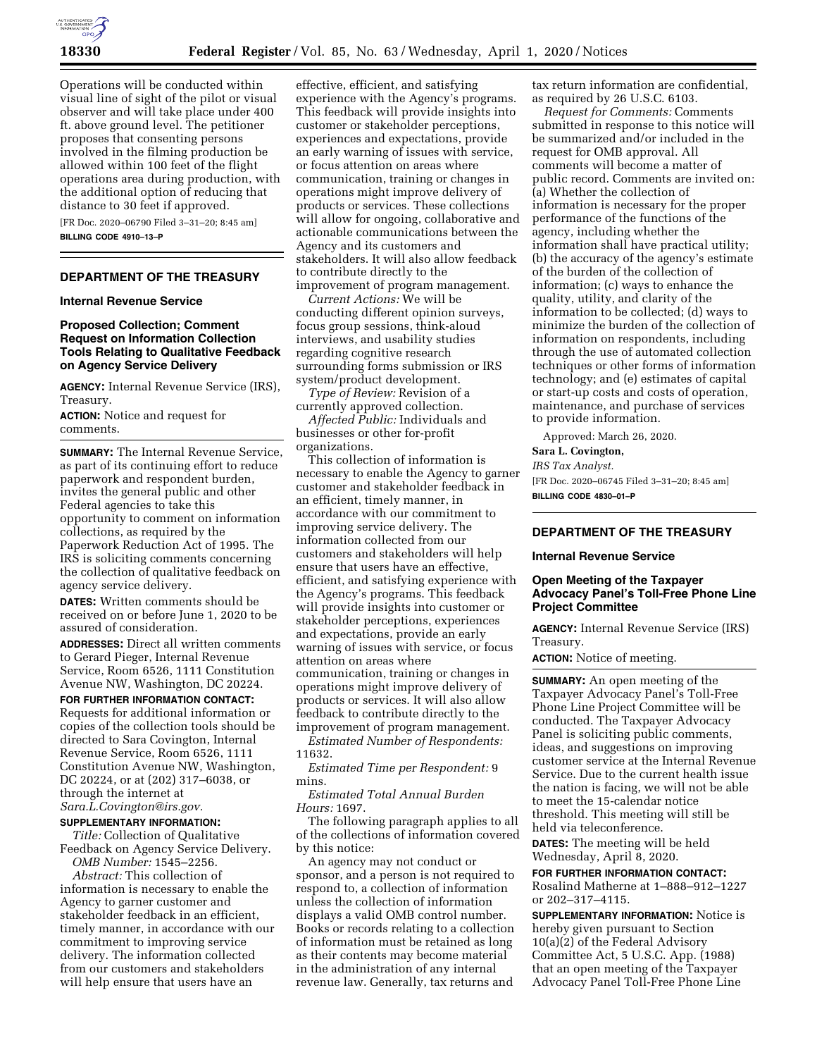

Operations will be conducted within visual line of sight of the pilot or visual observer and will take place under 400 ft. above ground level. The petitioner proposes that consenting persons involved in the filming production be allowed within 100 feet of the flight operations area during production, with the additional option of reducing that distance to 30 feet if approved.

[FR Doc. 2020–06790 Filed 3–31–20; 8:45 am] **BILLING CODE 4910–13–P** 

# **DEPARTMENT OF THE TREASURY**

### **Internal Revenue Service**

## **Proposed Collection; Comment Request on Information Collection Tools Relating to Qualitative Feedback on Agency Service Delivery**

**AGENCY:** Internal Revenue Service (IRS), Treasury.

**ACTION:** Notice and request for comments.

**SUMMARY:** The Internal Revenue Service, as part of its continuing effort to reduce paperwork and respondent burden, invites the general public and other Federal agencies to take this opportunity to comment on information collections, as required by the Paperwork Reduction Act of 1995. The IRS is soliciting comments concerning the collection of qualitative feedback on agency service delivery.

**DATES:** Written comments should be received on or before June 1, 2020 to be assured of consideration.

**ADDRESSES:** Direct all written comments to Gerard Pieger, Internal Revenue Service, Room 6526, 1111 Constitution Avenue NW, Washington, DC 20224.

**FOR FURTHER INFORMATION CONTACT:**  Requests for additional information or copies of the collection tools should be directed to Sara Covington, Internal Revenue Service, Room 6526, 1111 Constitution Avenue NW, Washington, DC 20224, or at (202) 317–6038, or through the internet at *[Sara.L.Covington@irs.gov.](mailto:Sara.L.Covington@irs.gov)* 

### **SUPPLEMENTARY INFORMATION:**

*Title:* Collection of Qualitative Feedback on Agency Service Delivery.

*OMB Number:* 1545–2256. *Abstract:* This collection of

information is necessary to enable the Agency to garner customer and stakeholder feedback in an efficient, timely manner, in accordance with our commitment to improving service delivery. The information collected from our customers and stakeholders will help ensure that users have an

effective, efficient, and satisfying experience with the Agency's programs. This feedback will provide insights into customer or stakeholder perceptions, experiences and expectations, provide an early warning of issues with service, or focus attention on areas where communication, training or changes in operations might improve delivery of products or services. These collections will allow for ongoing, collaborative and actionable communications between the Agency and its customers and stakeholders. It will also allow feedback to contribute directly to the improvement of program management.

*Current Actions:* We will be conducting different opinion surveys, focus group sessions, think-aloud interviews, and usability studies regarding cognitive research surrounding forms submission or IRS system/product development.

*Type of Review:* Revision of a currently approved collection.

*Affected Public:* Individuals and businesses or other for-profit organizations.

This collection of information is necessary to enable the Agency to garner customer and stakeholder feedback in an efficient, timely manner, in accordance with our commitment to improving service delivery. The information collected from our customers and stakeholders will help ensure that users have an effective, efficient, and satisfying experience with the Agency's programs. This feedback will provide insights into customer or stakeholder perceptions, experiences and expectations, provide an early warning of issues with service, or focus attention on areas where communication, training or changes in operations might improve delivery of products or services. It will also allow feedback to contribute directly to the improvement of program management.

*Estimated Number of Respondents:*  11632.

*Estimated Time per Respondent:* 9 mins.

*Estimated Total Annual Burden Hours:* 1697.

The following paragraph applies to all of the collections of information covered by this notice:

An agency may not conduct or sponsor, and a person is not required to respond to, a collection of information unless the collection of information displays a valid OMB control number. Books or records relating to a collection of information must be retained as long as their contents may become material in the administration of any internal revenue law. Generally, tax returns and

tax return information are confidential, as required by 26 U.S.C. 6103.

*Request for Comments:* Comments submitted in response to this notice will be summarized and/or included in the request for OMB approval. All comments will become a matter of public record. Comments are invited on: (a) Whether the collection of information is necessary for the proper performance of the functions of the agency, including whether the information shall have practical utility; (b) the accuracy of the agency's estimate of the burden of the collection of information; (c) ways to enhance the quality, utility, and clarity of the information to be collected; (d) ways to minimize the burden of the collection of information on respondents, including through the use of automated collection techniques or other forms of information technology; and (e) estimates of capital or start-up costs and costs of operation, maintenance, and purchase of services to provide information.

Approved: March 26, 2020.

# **Sara L. Covington,**

*IRS Tax Analyst.* 

[FR Doc. 2020–06745 Filed 3–31–20; 8:45 am] **BILLING CODE 4830–01–P** 

## **DEPARTMENT OF THE TREASURY**

#### **Internal Revenue Service**

## **Open Meeting of the Taxpayer Advocacy Panel's Toll-Free Phone Line Project Committee**

**AGENCY:** Internal Revenue Service (IRS) Treasury.

**ACTION:** Notice of meeting.

**SUMMARY:** An open meeting of the Taxpayer Advocacy Panel's Toll-Free Phone Line Project Committee will be conducted. The Taxpayer Advocacy Panel is soliciting public comments, ideas, and suggestions on improving customer service at the Internal Revenue Service. Due to the current health issue the nation is facing, we will not be able to meet the 15-calendar notice threshold. This meeting will still be held via teleconference.

**DATES:** The meeting will be held Wednesday, April 8, 2020.

**FOR FURTHER INFORMATION CONTACT:**  Rosalind Matherne at 1–888–912–1227 or 202–317–4115.

**SUPPLEMENTARY INFORMATION:** Notice is hereby given pursuant to Section 10(a)(2) of the Federal Advisory Committee Act, 5 U.S.C. App. (1988) that an open meeting of the Taxpayer Advocacy Panel Toll-Free Phone Line